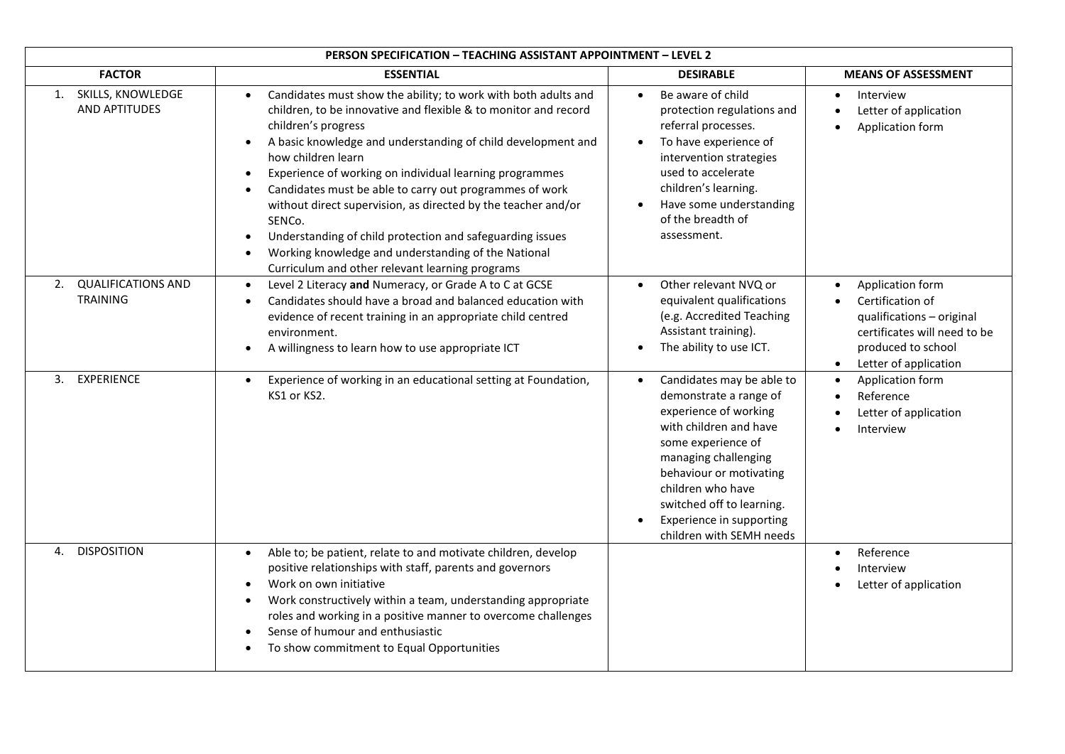| <b>PERSON SPECIFICATION - TEACHING ASSISTANT APPOINTMENT - LEVEL 2</b> |                                                                                                                                                                                                                                                                                                                                                                                                                                                                                                                                                                                                                                                                                         |                                                                                                                                                                                                                                                                                                                     |                                                                                                                                                               |
|------------------------------------------------------------------------|-----------------------------------------------------------------------------------------------------------------------------------------------------------------------------------------------------------------------------------------------------------------------------------------------------------------------------------------------------------------------------------------------------------------------------------------------------------------------------------------------------------------------------------------------------------------------------------------------------------------------------------------------------------------------------------------|---------------------------------------------------------------------------------------------------------------------------------------------------------------------------------------------------------------------------------------------------------------------------------------------------------------------|---------------------------------------------------------------------------------------------------------------------------------------------------------------|
| <b>FACTOR</b>                                                          | <b>ESSENTIAL</b>                                                                                                                                                                                                                                                                                                                                                                                                                                                                                                                                                                                                                                                                        | <b>DESIRABLE</b>                                                                                                                                                                                                                                                                                                    | <b>MEANS OF ASSESSMENT</b>                                                                                                                                    |
| SKILLS, KNOWLEDGE<br>1.<br>AND APTITUDES                               | Candidates must show the ability; to work with both adults and<br>$\bullet$<br>children, to be innovative and flexible & to monitor and record<br>children's progress<br>A basic knowledge and understanding of child development and<br>$\bullet$<br>how children learn<br>Experience of working on individual learning programmes<br>$\bullet$<br>Candidates must be able to carry out programmes of work<br>without direct supervision, as directed by the teacher and/or<br>SENCo.<br>Understanding of child protection and safeguarding issues<br>$\bullet$<br>Working knowledge and understanding of the National<br>$\bullet$<br>Curriculum and other relevant learning programs | Be aware of child<br>$\bullet$<br>protection regulations and<br>referral processes.<br>To have experience of<br>$\bullet$<br>intervention strategies<br>used to accelerate<br>children's learning.<br>Have some understanding<br>of the breadth of<br>assessment.                                                   | Interview<br>$\bullet$<br>Letter of application<br>$\bullet$<br>Application form                                                                              |
| <b>QUALIFICATIONS AND</b><br>2.<br><b>TRAINING</b>                     | Level 2 Literacy and Numeracy, or Grade A to C at GCSE<br>$\bullet$<br>Candidates should have a broad and balanced education with<br>$\bullet$<br>evidence of recent training in an appropriate child centred<br>environment.<br>A willingness to learn how to use appropriate ICT                                                                                                                                                                                                                                                                                                                                                                                                      | Other relevant NVQ or<br>$\bullet$<br>equivalent qualifications<br>(e.g. Accredited Teaching<br>Assistant training).<br>The ability to use ICT.<br>$\bullet$                                                                                                                                                        | Application form<br>Certification of<br>qualifications - original<br>certificates will need to be<br>produced to school<br>Letter of application<br>$\bullet$ |
| 3. EXPERIENCE                                                          | Experience of working in an educational setting at Foundation,<br>KS1 or KS2.                                                                                                                                                                                                                                                                                                                                                                                                                                                                                                                                                                                                           | Candidates may be able to<br>$\bullet$<br>demonstrate a range of<br>experience of working<br>with children and have<br>some experience of<br>managing challenging<br>behaviour or motivating<br>children who have<br>switched off to learning.<br>Experience in supporting<br>$\bullet$<br>children with SEMH needs | Application form<br>Reference<br>Letter of application<br>Interview                                                                                           |
| <b>DISPOSITION</b><br>4.                                               | Able to; be patient, relate to and motivate children, develop<br>$\bullet$<br>positive relationships with staff, parents and governors<br>Work on own initiative<br>$\bullet$<br>Work constructively within a team, understanding appropriate<br>$\bullet$<br>roles and working in a positive manner to overcome challenges<br>Sense of humour and enthusiastic<br>To show commitment to Equal Opportunities                                                                                                                                                                                                                                                                            |                                                                                                                                                                                                                                                                                                                     | Reference<br>$\bullet$<br>Interview<br>Letter of application                                                                                                  |